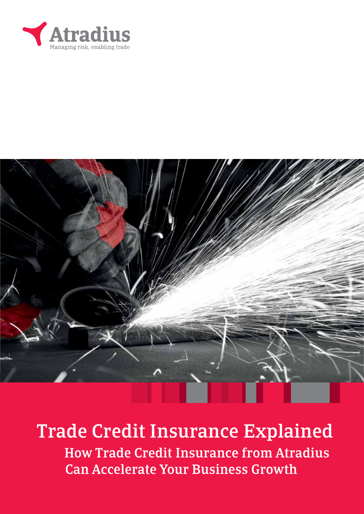



# Trade Credit Insurance Explained

 How Trade Credit Insurance from Atradius Can Accelerate Your Business Growth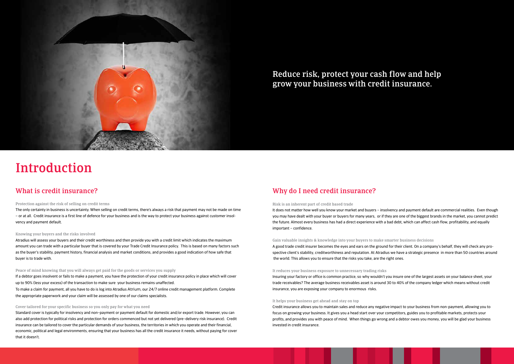# Introduction

### What is credit insurance?

#### Protection against the risk of selling on credit terms

The only certainty in business is uncertainty. When selling on credit terms, there's always a risk that payment may not be made on time – or at all. Credit insurance is a first line of defence for your business and is the way to protect your business against customer insolvency and payment default.

#### Knowing your buyers and the risks involved

Atradius will assess your buyers and their credit worthiness and then provide you with a credit limit which indicates the maximum amount you can trade with a particular buyer that is covered by your Trade Credit Insurance policy. This is based on many factors such as the buyer's stability, payment history, financial analysis and market conditions, and provides a good indication of how safe that buyer is to trade with.

#### Cover tailored for your specific business so you only pay for what you need

Standard cover is typically for insolvency and non–payment or payment default for domestic and/or export trade. However, you can also add protection for political risks and protection for orders commenced but not yet delivered (pre–delivery risk insurance). Credit insurance can be tailored to cover the particular demands of your business, the territories in which you operate and their financial, economic, political and legal environments, ensuring that your business has all the credit insurance it needs, without paying for cover that it doesn't.



Reduce risk, protect your cash flow and help grow your business with credit insurance.

#### Peace of mind knowing that you will always get paid for the goods or services you supply

If a debtor goes insolvent or fails to make a payment, you have the protection of your credit insurance policy in place which will cover up to 90% (less your excess) of the transaction to make sure your business remains unaffected. To make a claim for payment, all you have to do is log into Atradius Atrium, our 24/7 online credit management platform. Complete the appropriate paperwork and your claim will be assessed by one of our claims specialists.

#### Why do I need credit insurance?

#### Risk is an inherent part of credit based trade

It does not matter how well you know your market and buyers – insolvency and payment default are commercial realities. Even though you may have dealt with your buyer or buyers for many years, or if they are one of the biggest brands in the market, you cannot predict the future. Almost every business has had a direct experience with a bad debt, which can affect cash flow, profitability, and equally important – confidence.

Gain valuable insights & knowledge into your buyers to make smarter business decisions A good trade credit insurer becomes the eyes and ears on the ground for their client. On a company's behalf, they will check any prospective client's stability, creditworthiness and reputation. At Atradius we have a strategic presence in more than 50 countries around the world. This allows you to ensure that the risks you take, are the right ones.

#### It reduces your business exposure to unnecessary trading risks

Insuring your factory or office is common practice, so why wouldn't you insure one of the largest assets on your balance sheet, your trade receivables? The average business receivables asset is around 30 to 40% of the company ledger which means without credit insurance, you are exposing your company to enormous risks.

#### It helps your business get ahead and stay on top

Credit insurance allows you to maintain sales and reduce any negative impact to your business from non-payment, allowing you to focus on growing your business. It gives you a head start over your competitors, guides you to profitable markets, protects your profits, and provides you with peace of mind. When things go wrong and a debtor owes you money, you will be glad your business invested in credit insurance.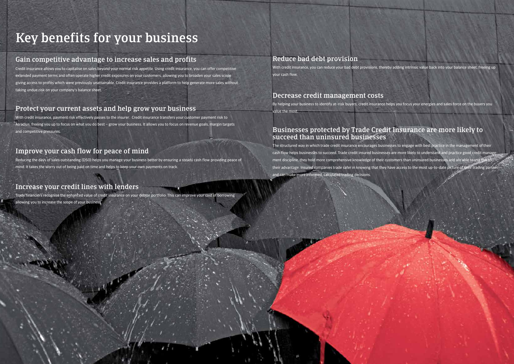# Key benefits for your business

# Gain competitive advantage to increase sales and profits

Credit insurance allows you to capitalise on sales beyond your normal risk appetite. Using credit insurance, you can offer competitive extended payment terms and often operate higher credit exposures on your customers, allowing you to broaden your sales scope giving access to profits which were previously unattainable. Credit insurance provides a platform to help generate more sales without taking undue risk on your company's balance sheet.

# Protect your current assets and help grow your business

With credit insurance, payment risk effectively passes to the insurer. Credit insurance transfers your customer payment risk to Atradius, freeing you up to focus on what you do best – grow your business. It allows you to focus on revenue goals, margin targets and competitive pressures.

# Improve your cash flow for peace of mind

Reducing the days of sales outstanding (DSO) helps you manage your business better by ensuring a steady cash flow providing peace of mind. It takes the worry out of being paid on time and helps to keep your own payments on track.

# Increase your credit lines with lenders

The structured way in which trade credit insurance encourages businesses to engage with best practice in the management of their cash flow helps businesses to succeed. Trade credit insured businesses are more likely to understand and practice good credit management discipline, they hold more comprehensive knowledge of their customers than uninsured businesses and are able to use this to their advantage. Insured companies trade safer in knowing that they have access to the most up-to-date picture of their trading partner and can make more informed, calculated trading decisions.

Trade financiers recognise the enhanced value of credit insurance on your debtor portfolio. This can improve your cost of borrowing allowing you to increase the scope of your business.

### Reduce bad debt provision

With credit insurance, you can reduce your bad debt provisions, thereby adding intrinsic value back into your balance sheet, freeing up your cash flow.

### Decrease credit management costs

By helping your business to identify at–risk buyers, credit insurance helps you focus your energies and sales force on the buyers you

value the most.

### Businesses protected by Trade Credit Insurance are more likely to succeed than uninsured businesses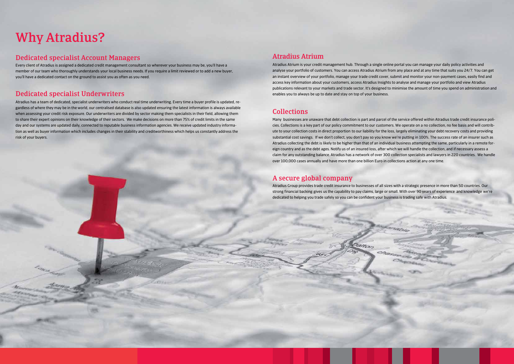## Atradius Atrium

Atradius Atrium is your credit management hub. Through a single online portal you can manage your daily policy activities and analyse your portfolio of customers. You can access Atradius Atrium from any place and at any time that suits you 24/7. You can get an instant overview of your portfolio, manage your trade credit cover, submit and monitor your non-payment cases, easily find and access key information about your customers, access Atradius Insights to analyse and manage your portfolio and view Atradius publications relevant to your markets and trade sector. It's designed to minimise the amount of time you spend on administration and enables you to always be up to date and stay on top of your business.

# Collections

Many businesses are unaware that debt collection is part and parcel of the service offered within Atradius trade credit insurance policies. Collections is a key part of our policy commitment to our customers. We operate on a no collection, no fee basis and will contribute to your collection costs in direct proportion to our liability for the loss, largely eliminating your debt recovery costs and providing substantial cost savings. If we don't collect, you don't pay so you know we're putting in 100%. The success rate of an insurer such as Atradius collecting the debt is likely to be higher than that of an individual business attempting the same, particularly in a remote foreign country and as the debt ages. Notify us of an insured loss, after which we will handle the collection, and if necessary assess a claim for any outstanding balance. Atradius has a network of over 300 collection specialists and lawyers in 220 countries. We handle over 100,000 cases annually and have more than one billion Euro in collections action at any one time.

# A secure global company

a

Atradius Group provides trade credit insurance to businesses of all sizes with a strategic presence in more than 50 countries. Our strong financial backing gives us the capability to pay claims, large or small. With over 90 years of experience and knowledge we're dedicated to helping you trade safely so you can be confident your business is trading safe with Atradius.

CARRIS

Dalton

an

# Why Atradius?

## Dedicated specialist Account Managers

Every client of Atradius is assigned a dedicated credit management consultant so wherever your business may be, you'll have a member of our team who thoroughly understands your local business needs. If you require a limit reviewed or to add a new buyer, you'll have a dedicated contact on the ground to assist you as often as you need.

## Dedicated specialist Underwriters

Atradius has a team of dedicated, specialist underwriters who conduct real time underwriting. Every time a buyer profile is updated, regardless of where they may be in the world, our centralised database is also updated ensuring the latest information is always available when assessing your credit risk exposure. Our underwriters are divided by sector making them specialists in their field, allowing them to share their expert opinions on their knowledge of their sectors. We make decisions on more than 75% of credit limits in the same day and our systems are updated daily, connected to reputable business information agencies. We receive updated industry information as well as buyer information which includes changes in their stability and creditworthiness which helps us constantly address the risk of your buyers.